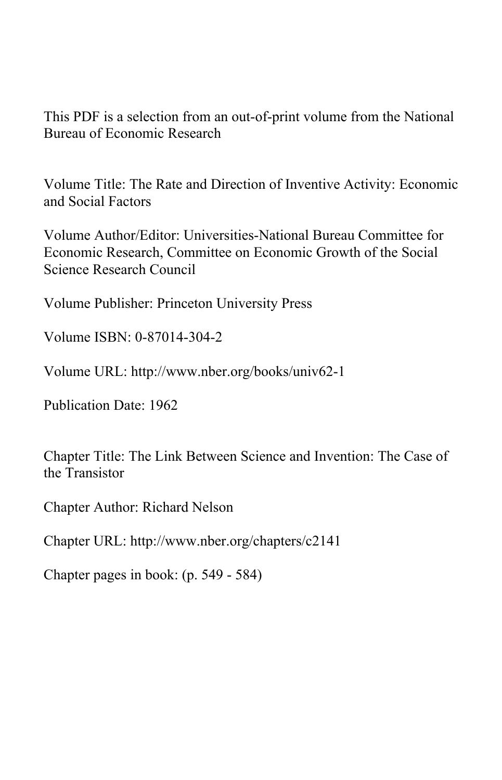This PDF is a selection from an out-of-print volume from the National Bureau of Economic Research

Volume Title: The Rate and Direction of Inventive Activity: Economic and Social Factors

Volume Author/Editor: Universities-National Bureau Committee for Economic Research, Committee on Economic Growth of the Social Science Research Council

Volume Publisher: Princeton University Press

Volume ISBN: 0-87014-304-2

Volume URL: http://www.nber.org/books/univ62-1

Publication Date: 1962

Chapter Title: The Link Between Science and Invention: The Case of the Transistor

Chapter Author: Richard Nelson

Chapter URL: http://www.nber.org/chapters/c2141

Chapter pages in book: (p. 549 - 584)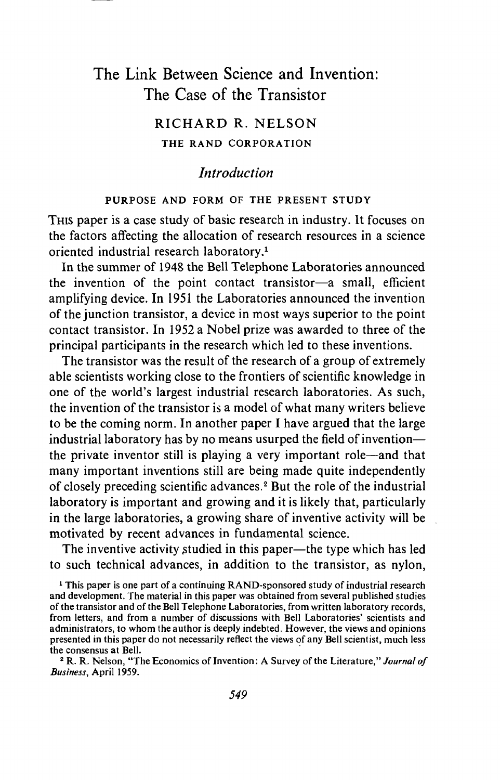# The Link Between Science and Invention: The Case of the Transistor

# RICHARD R. NELSON THE RAND CORPORATION

## **Introduction**

#### PURPOSE AND FORM OF THE PRESENT STUDY

THIS paper is a case study of basic research in industry. It focuses on the factors affecting the allocation of research resources in a science oriented industrial research laboratory.'

In the summer of 1948 the Bell Telephone Laboratories announced the invention of the point contact transistor—a small, efficient amplifying device. In 1951 the Laboratories announced the invention of the junction transistor, a device in most ways superior to the point contact transistor. In 1952 a Nobel prize was awarded to three of the principal participants in the research which led to these inventions.

The transistor was the result of the research of a group of extremely able scientists working close to the frontiers of scientific knowledge in one of the world's largest industrial research laboratories. As such, the invention of the transistor is a model of what many writers believe to be the coming norm. In another paper I have argued that the large industrial laboratory has by no means usurped the field of invention the private inventor still is playing a very important role—and that many important inventions still are being made quite independently of closely preceding scientific advances.2 But the role of the industrial laboratory is important and growing and it is likely that, particularly in the large laboratories, a growing share of inventive activity will be motivated by recent advances in fundamental science.

The inventive activity studied in this paper—the type which has led to such technical advances, in addition to the transistor, as nylon,

<sup>1</sup> This paper is one part of a continuing RAND-sponsored study of industrial research and development. The material in this paper was obtained from several published studies of the transistor and of the Bell Telephone Laboratories, from written laboratory records, from letters, and from a number of discussions with Bell Laboratories' scientists and administrators, to whom the author is deeply indebted. However, the views and opinions presented in this paper do not necessarily reflect the views of any Bell scientist, much less the consensus at Bell.

<sup>2</sup> R. R. Nelson, "The Economics of Invention: A Survey of the Literature," Journal of Business, April 1959.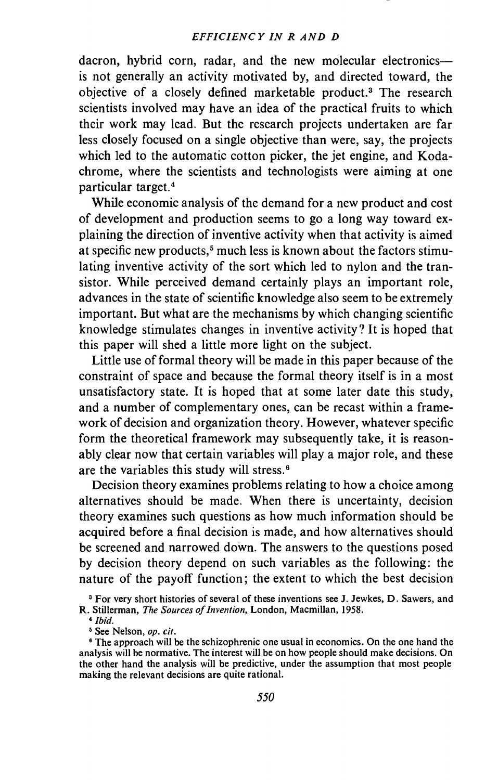dacron, hybrid corn, radar, and the new molecular electronics is not generally an activity motivated by, and directed toward, the objective of a closely defined marketable product.3 The research scientists involved may have an idea of the practical fruits to which their work may lead. But the research projects undertaken are far less closely focused on a single objective than were, say, the projects which led to the automatic cotton picker, the jet engine, and Kodachrome, where the scientists and technologists were aiming at one particular target.4

While economic analysis of the demand for a new product and cost of development and production seems to go a long way toward explaining the direction of inventive activity when that activity is aimed at specific new products,<sup>5</sup> much less is known about the factors stimulating inventive activity of the sort which led to nylon and the transistor. While perceived demand certainly plays an important role, advances in the state of scientific knowledge also seem to be extremely important. But what are the mechanisms by which changing scientific knowledge stimulates changes in inventive activity? It is hoped that this paper will shed a little more light on the subject.

Little use of formal theory will be made in this paper because of the constraint of space and because the formal theory itself is in a most unsatisfactory state. It is hoped that at some later date this study, and a number of complementary ones, can be recast within a framework of decision and organization theory. However, whatever specific form the theoretical framework may subsequently take, it is reasonably clear now that certain variables will play a major role, and these are the variables this study will stress.6

Decision theory examines problems relating to how a choice among alternatives should be made. When there is uncertainty, decision theory examines such questions as how much information should be acquired before a final decision is made, and how alternatives should be screened and narrowed down. The answers to the questions posed by decision theory depend on such variables as the following: the nature of the payoff function; the extent to which the best decision

<sup>&</sup>lt;sup>3</sup> For very short histories of several of these inventions see J. Jewkes, D. Sawers, and R. Stillerman, The Sources of Invention, London, Macmillan, 1958.

Ibid.

<sup>&</sup>lt;sup>5</sup> See Nelson, op. cit.

<sup>°</sup> The approach will be the schizophrenic one usual in economics. On the one hand the analysis will be normative. The interest will be on how people should make decisions. On the other hand the analysis will be predictive, under the assumption that most people making the relevant decisions are quite rational.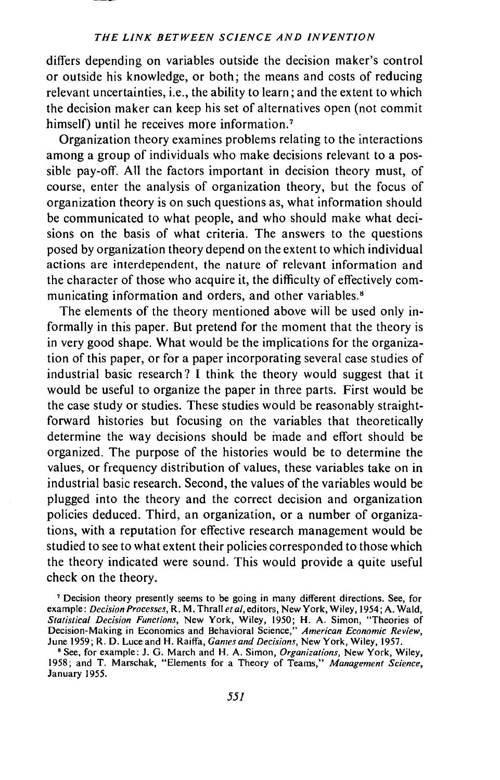#### THE LINK BETWEEN SCIENCE AND INVENTION

differs depending on variables outside the decision maker's control or outside his knowledge, or both; the means and costs of reducing relevant uncertainties, i.e., the ability to learn; and the extent to which the decision maker can keep his set of alternatives open (not commit himself) until he receives more information.<sup>7</sup>

Organization theory examines problems relating to the interactions among a group of individuals who make decisions relevant to a possible pay-off. All the factors important in decision theory must, of course, enter the analysis of organization theory, but the focus of organization theory is on such questions as, what information should be communicated to what people, and who should make what decisions on the basis of what criteria. The answers to the questions posed by organization theory depend on the extent to which individual actions are interdependent, the nature of relevant information and the character of those who acquire it, the difficulty of effectively communicating information and orders, and other variables.<sup>8</sup>

The elements of the theory mentioned above will be used only informally in this paper. But pretend for the moment that the theory is in very good shape. What would be the implications for the organization of this paper, or for a paper incorporating several case studies of industrial basic research? I think the theory would suggest that it would be useful to organize the paper in three parts. First would be the case study or studies. These studies would be reasonably straightforward histories but focusing on the variables that theoretically determine the way decisions should be made and effort should be organized. The purpose of the histories would be to determine the values, or frequency distribution of values, these variables take on in industrial basic research. Second, the values of the variables would be plugged into the theory and the correct decision and organization policies deduced. Third, an organization, or a number of organizations, with a reputation for effective research management would be studied to see to what extent their policies corresponded to those which the theory indicated were sound. This would provide a quite useful check on the theory.

Decision theory presently seems to be going in many different directions. See, for example: *Decision Processes*, R. M. Thrall *et al*, editors, New York, Wiley, 1954; A. Wald, Statistical Decision Functions, New York, Wiley, 1950; H. A. Simon, "Theories of Decision-Making in Economics and Behavioral Science," American Economic Review, June 1959; R. D. Luce and H. Raiffa, Games and Decisions, New York, Wiley, 1957.

<sup>&</sup>lt;sup>8</sup> See, for example: J. G. March and H. A. Simon, *Organizations*, New York, Wiley, 1958; and T. Marschak, "Elements for a Theory of Teams," Management Science, January 1955.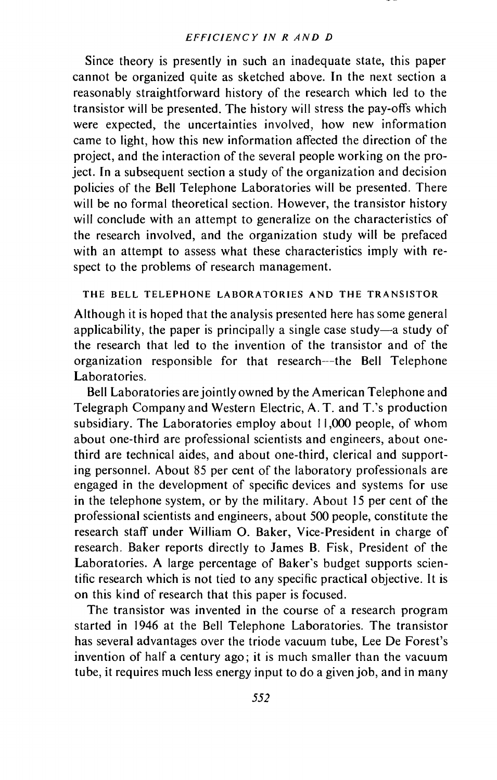Since theory is presently in such an inadequate state, this paper cannot be organized quite as sketched above. En the next section a reasonably straightforward history of the research which led to the transistor will be presented. The history will stress the pay-offs which were expected, the uncertainties involved, how new information came to light, how this new information affected the direction of the project, and the interaction of the several people working on the project. In a subsequent section a study of the organization and decision policies of the Bell Telephone Laboratories will be presented. There will be no formal theoretical section. However, the transistor history will conclude with an attempt to generalize on the characteristics of the research involved, and the organization study will be prefaced with an attempt to assess what these characteristics imply with respect to the problems of research management.

#### THE BELL TELEPHONE LABORATORIES AND THE TRANSISTOR

Although it is hoped that the analysis presented here has some general applicability, the paper is principally a single case study—a study of the research that led to the invention of the transistor and of the organization responsible for that research---the Bell Telephone Laboratories.

Bell Laboratories are jointly owned by the American Telephone and Telegraph Company and Western Electric, A. T. and T.'s production subsidiary. The Laboratories employ about 11,000 people, of whom about one-third are professional scientists and engineers, about onethird are technical aides, and about one-third, clerical and supporting personnel. About 85 per cent of the laboratory professionals are engaged in the development of specific devices and systems for use in the telephone system, or by the military. About 15 per cent of the professional scientists and engineers, about 500 people, constitute the research staff under William 0. Baker, Vice-President in charge of research. Baker reports directly to James B. Fisk, President of the Laboratories. A large percentage of Baker's budget supports scientific research which is not tied to any specific practical objective. It is on this kind of research that this paper is focused.

The transistor was invented in the course of a research program started in 1946 at the Bell Telephone Laboratories. The transistor has several advantages over the triode vacuum tube, Lee De Forest's invention of half a century ago; it is much smaller than the vacuum tube, it requires much less energy input to do a given job, and in many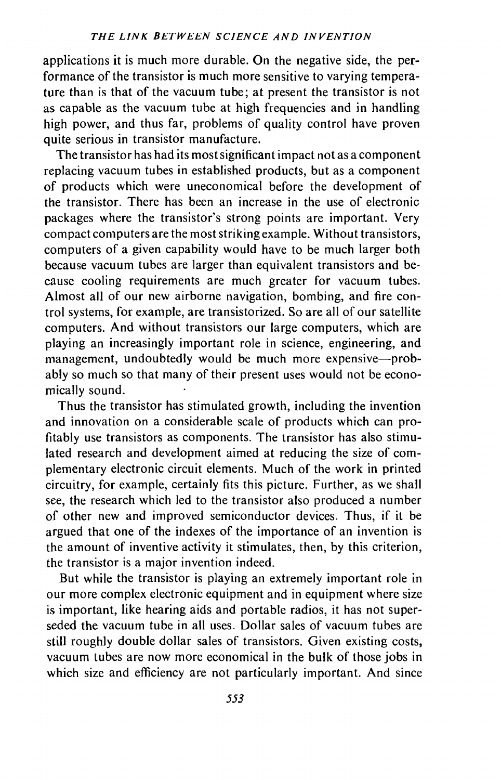applications it is much more durable. On the negative side, the performance of the transistor is much more sensitive to varying temperature than is that of the vacuum tube; at present the transistor is not as capable as the vacuum tube at high frequencies and in handling high power, and thus far, problems of quality control have proven quite serious in transistor manufacture.

The transistor has had its most significant impact not as a component replacing vacuum tubes in established products, but as a component of products which were uneconomical before the development of the transistor. There has been an increase in the use of electronic packages where the transistor's strong points are important. Very compact computers are the most striking example. Without transistors, computers of a given capability would have to be much larger both because vacuum tubes are larger than equivalent transistors and because cooling requirements are much greater for vacuum tubes. Almost all of our new airborne navigation, bombing, and fire control systems, for example, are transistorized. So are all of our satellite computers. And without transistors our large computers, which are playing an increasingly important role in science, engineering, and management, undoubtedly would be much more expensive—probably so much so that many of their present uses would not be economically sound.

Thus the transistor has stimulated growth, including the invention and innovation on a considerable scale of products which can profitably use transistors as components. The transistor has also stimulated research and development aimed at reducing the size of complementary electronic circuit elements. Much of the work in printed circuitry, for example, certainly fits this picture. Further, as we shall see, the research which led to the transistor also produced a number of other new and improved semiconductor devices. Thus, if it be argued that one of the indexes of the importance of an invention is the amount of inventive activity it stimulates, then, by this criterion, the transistor is a major invention indeed.

But while the transistor is playing an extremely important role in our more complex electronic equipment and in equipment where size is important, like hearing aids and portable radios, it has not superseded the vacuum tube in all uses. Dollar sales of vacuum tubes are still roughly double dollar sales of transistors. Given existing costs, vacuum tubes are now more economical in the bulk of those jobs in which size and efficiency are not particularly important. And since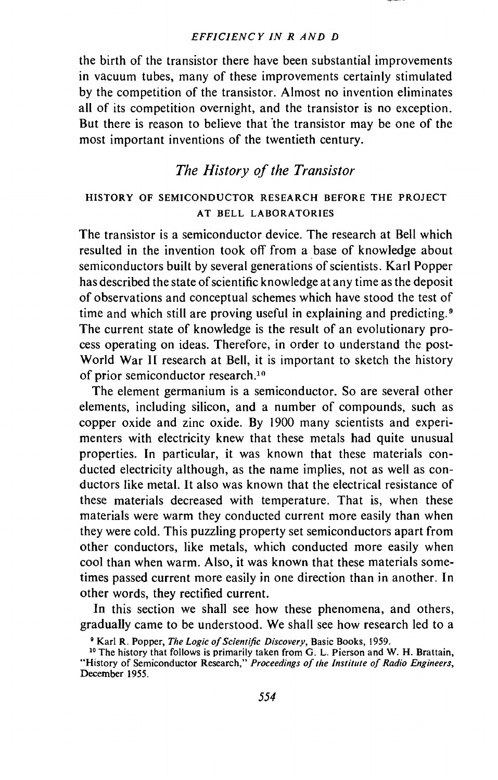#### EFFICIENCY IN R AND D

the birth of the transistor there have been substantial improvements in vacuum tubes, many of these improvements certainly stimulated by the competition of the transistor. Almost no invention eliminates all of its competition overnight, and the transistor is no exception. But there is reason to believe that 'the transistor may be one of the most important inventions of the twentieth century.

## The History of the Transistor

## HISTORY OF SEMICONDUCTOR RESEARCH BEFORE THE PROJECT AT BELL LABORATORIES

The transistor is a semiconductor device. The research at Bell which resulted in the invention took off from a base of knowledge about semiconductors built by several generations of scientists. Karl Popper has described the state of scientific knowledge at any time as the deposit of observations and conceptual schemes which have stood the test of time and which still are proving useful in explaining and predicting.<sup>9</sup> The current state of knowledge is the result of an evolutionary process operating on ideas. Therefore, in order to understand the post-World War 11 research at Bell, it is important to sketch the history of prior semiconductor research.'°

The element germanium is a semiconductor. So are several other elements, including silicon, and a number of compounds, such as copper oxide and zinc oxide. By 1900 many scientists and experimenters with electricity knew that these metals had quite unusual properties. In particular, it was known that these materials conducted electricity although, as the name implies, not as well as conductors like metal. It also was known that the electrical resistance of these materials decreased with temperature. That is, when these materials were warm they conducted current more easily than when they were cold. This puzzling property set semiconductors apart from other conductors, like metals, which conducted more easily when cool than when warm. Also, it was known that these materials sometimes passed current more easily in one direction than in another. In other words, they rectified current.

In this section we shall see how these phenomena, and others, gradually came to be understood. We shall see how research led to a

<sup>&</sup>lt;sup>9</sup> Karl R. Popper, The Logic of Scientific Discovery, Basic Books, 1959.

<sup>&</sup>lt;sup>10</sup> The history that follows is primarily taken from G. L. Pierson and W. H. Brattain, "History of Semiconductor Research," Proceedings of the Institute of Radio Engineers, December 1955.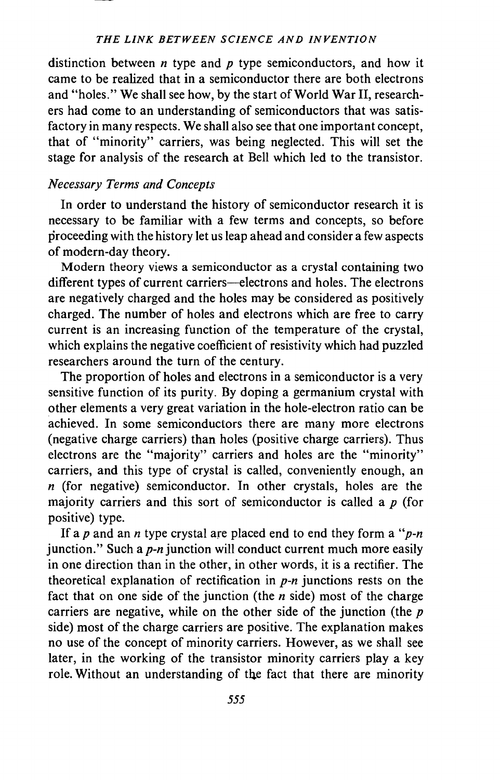#### THE LINK BETWEEN SCIENCE AND INVENTION

distinction between *n* type and  $p$  type semiconductors, and how it came to be realized that in a semiconductor there are both electrons and "holes." We shall see how, by the start of World War II, researchers had come to an understanding of semiconductors that was satisfactory in many respects. We shall also see that one important concept, that of "minority" carriers, was being neglected. This will set the stage for analysis of the research at Bell which led to the transistor.

## Necessary Terms and Concepts

In order to understand the history of semiconductor research it is necessary to be familiar with a few terms and concepts, so before proceeding with the history let us leap ahead and consider a few aspects of modern-day theory.

Modern theory views a semiconductor as a crystal containing two different types of current carriers—electrons and holes. The electrons are negatively charged and the holes may be considered as positively charged. The number of holes and electrons which are free to carry current is an increasing function of the temperature of the crystal, which explains the negative coefficient of resistivity which had puzzled researchers around the turn of the century.

The proportion of holes and electrons in a semiconductor is a very sensitive function of its purity. By doping a germanium crystal with other elements a very great variation in the hole-electron ratio can be achieved. In some semiconductors there are many more electrons (negative charge carriers) than holes (positive charge carriers). Thus electrons are the "majority" carriers and holes are the "minority" carriers, and this type of crystal is called, conveniently enough, an  $n$  (for negative) semiconductor. In other crystals, holes are the majority carriers and this sort of semiconductor is called a  $p$  (for positive) type.

If a p and an n type crystal are placed end to end they form a " $p-n$ " junction." Such a  $p$ -n junction will conduct current much more easily in one direction than in the other, in other words, it is a rectifier. The theoretical explanation of rectification in  $p-n$  junctions rests on the fact that on one side of the junction (the  $n$  side) most of the charge carriers are negative, while on the other side of the junction (the p side) most of the charge carriers are positive. The explanation makes no use of the concept of minority carriers. However, as we shall see later, in the working of the transistor minority carriers play a key role. Without an understanding of the fact that there are minority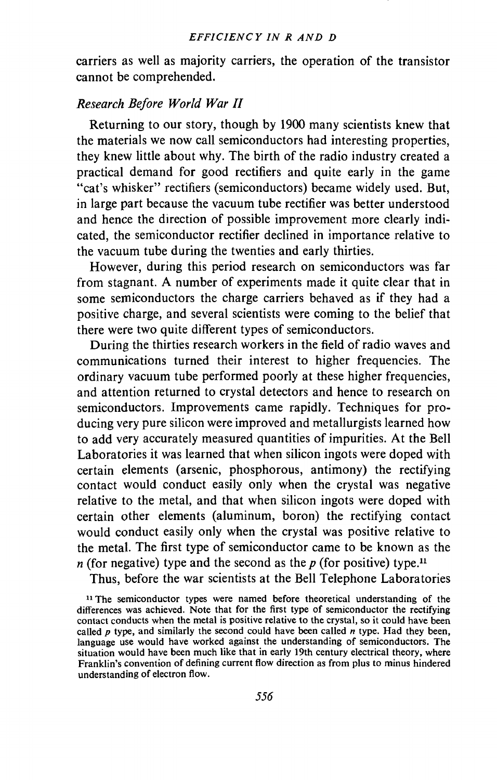carriers as well as majority carriers, the operation of the transistor cannot be comprehended.

## Research Before World War II

Returning to our story, though by 1900 many scientists knew that the materials we now call semiconductors had interesting properties, they knew little about why. The birth of the radio industry created a practical demand for good rectifiers and quite early in the game "cat's whisker" rectifiers (semiconductors) became widely used. But, in large part because the vacuum tube rectifier was better understood and hence the direction of possible improvement more clearly indicated, the semiconductor rectifier declined in importance relative to the vacuum tube during the twenties and early thirties.

However, during this period research on semiconductors was far from stagnant. A number of experiments made it quite clear that in some semiconductors the charge carriers behaved as if they had a positive charge, and several scientists were coming to the belief that there were two quite different types of semiconductors.

During the thirties research workers in the field of radio waves and communications turned their interest to higher frequencies. The ordinary vacuum tube performed poorly at these higher frequencies, and attention returned to crystal detectors and hence to research on semiconductors. Improvements came rapidly. Techniques for producing very pure silicon were improved and metallurgists learned how to add very accurately measured quantities of impurities. At the Bell Laboratories it was learned that when silicon ingots were doped with certain elements (arsenic, phosphorous, antimony) the rectifying contact would conduct easily only when the crystal was negative relative to the metal, and that when silicon ingots were doped with certain other elements (aluminum, boron) the rectifying contact would conduct easily only when the crystal was positive relative to the metal. The first type of semiconductor came to be known as the n (for negative) type and the second as the  $p$  (for positive) type.<sup>11</sup>

Thus, before the war scientists at the Bell Telephone Laboratories

<sup>&</sup>lt;sup>11</sup> The semiconductor types were named before theoretical understanding of the differences was achieved. Note that for the first type of semiconductor the rectifying contact conducts when the metal is positive relative to the crystal, so it could have been called  $p$  type, and similarly the second could have been called  $n$  type. Had they been, language use would have worked against the understanding of semiconductors. The situation would have been much like that in early 19th century electrical theory, where Franklin's convention of defining current flow direction as from plus to minus hindered understanding of electron flow.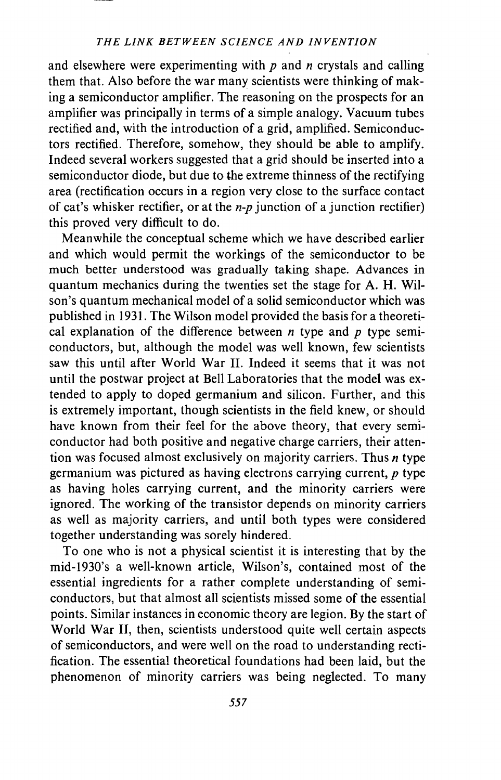#### THE LiNK BETWEEN SCIENCE AND INVENTION

and elsewhere were experimenting with  $p$  and  $n$  crystals and calling them that. Also before the war many scientists were thinking of making a semiconductor amplifier. The reasoning on the prospects for an amplifier was principally in terms of a simple analogy. Vacuum tubes rectified and, with the introduction of a grid, amplified. Semiconductors rectified. Therefore, somehow, they should be able to amplify. Indeed several workers suggested that a grid should be inserted into a semiconductor diode, but due to the extreme thinness of the rectifying area (rectification occurs in a region very close to the surface contact of cat's whisker rectifier, or at the  $n-p$  junction of a junction rectifier) this proved very difficult to do.

Meanwhile the conceptual scheme which we have described earlier and which would permit the workings of the semiconductor to be much better understood was gradually taking shape. Advances in quantum mechanics during the twenties set the stage for A. H. Wilson's quantum mechanical model of a solid semiconductor which was published in 1931. The Wilson model provided the basis for a theoretical explanation of the difference between *n* type and *p* type semiconductors, but, although the model was well known, few scientists saw this until after World War II. Indeed it seems that it was not until the postwar project at Bell Laboratories that the model was extended to apply to doped germanium and silicon. Further, and this is extremely important, though scientists in the field knew, or should have known from their feel for the above theory, that every semiconductor had both positive and negative charge carriers, their attention was focused almost exclusively on majority carriers. Thus  $n$  type germanium was pictured as having electrons carrying current,  $p$  type as having holes carrying current, and the minority carriers were ignored. The working of the transistor depends on minority carriers as well as majority carriers, and until both types were considered together understanding was sorely hindered.

To one who is not a physical scientist it is interesting that by the mid-l930's a well-known article, Wilson's, contained most of the essential ingredients for a rather complete understanding of semiconductors, but that almost all scientists missed some of the essential points. Similar instances in economic theory are legion. By the start of World War II, then, scientists understood quite well certain aspects of semiconductors, and were well on the road to understanding rectification. The essential theoretical foundations had been laid, but the phenomenon of minority carriers was being neglected. To many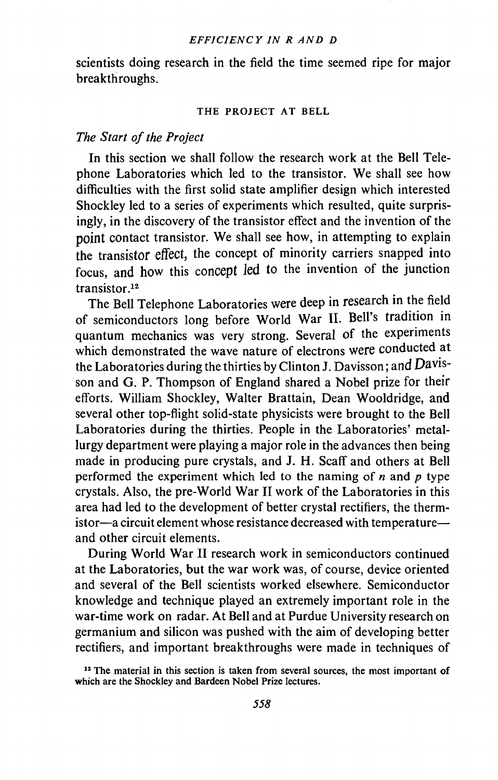scientists doing research in the field the time seemed ripe for major breakthroughs.

#### THE PROJECT AT BELL

## The Start of the Project

In this section we shall follow the research work at the Bell Telephone Laboratories which led to the transistor. We shall see how difficulties with the first solid state amplifier design which interested Shockley led to a series of experiments which resulted, quite surprisingly, in the discovery of the transistor effect and the invention of the point contact transistor. We shall see how, in attempting to explain the transistor effect, the concept of minority carriers snapped into focus, and how this concept led to the invention of the junction transistor.<sup>12</sup>

The Bell Telephone Laboratories were deep in research in the field of semiconductors long before World War II. Bell's tradition in quantum mechanics was very strong. Several of the experiments which demonstrated the wave nature of electrons were conducted at the Laboratories during the thirties by Clinton J. Davisson; and Davisson and G. P. Thompson of England shared a Nobel prize for their efforts. William Shockley, Walter Brattain, Dean Wooldridge, and several other top-flight solid-state physicists were brought to the Bell Laboratories during the thirties. People in the Laboratories' metallurgy department were playing a major role in the advances then being made in producing pure crystals, and J. H. Scaff and others at Bell performed the experiment which led to the naming of  $n$  and  $p$  type crystals. Also, the pre-World War II work of the Laboratories in this area had led to the development of better crystal rectifiers, the thermistor—a circuit element whose resistance decreased with temperature and other circuit elements.

During World War II research work in semiconductors continued at the Laboratories, but the war work was, of course, device oriented and several of the Bell scientists worked elsewhere. Semiconductor knowledge and technique played an extremely important role in the war-time work on radar. At Bell and at Purdue University research on germanium and silicon was pushed with the aim of developing better rectifiers, and important breakthroughs were made in techniques of

<sup>&</sup>lt;sup>12</sup> The material in this section is taken from several sources, the most important of which are the Shockley and Bardeen Nobel Prize lectures.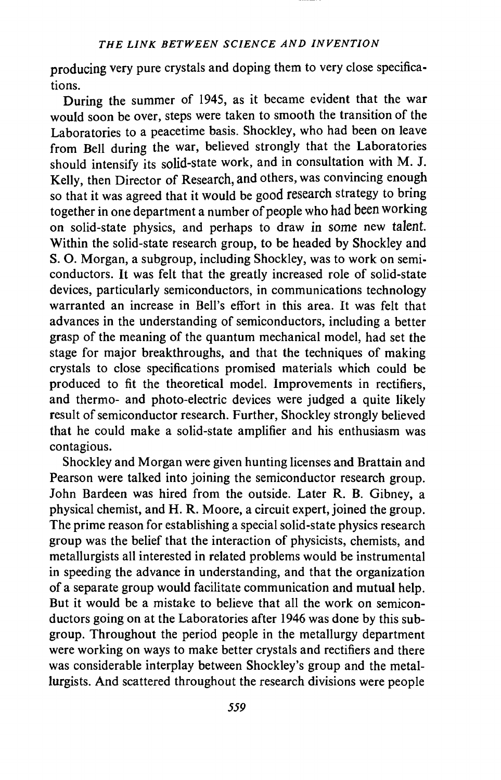producing very pure crystals and doping them to very close specifications.

During the summer of 1945, as it became evident that the war would soon be over, steps were taken to smooth the transition of the Laboratories to a peacetime basis. Shockley, who had been on leave from Bell during the war, believed strongly that the Laboratories should intensify its solid-state work, and in consultation with M. J. Kelly, then Director of Research, and others, was convincing enough so that it was agreed that it would be good research strategy to bring together in one department a number of people who had been working on solid-state physics, and perhaps to draw in some new talent. Within the solid-state research group, to be headed by Shockley and S. 0. Morgan, a subgroup, including Shockley, was to work on semiconductors. It was felt that the greatly increased role of solid-state devices, particularly semiconductors, in communications technology warranted an increase in Bell's effort in this area. It was felt that advances in the understanding of semiconductors, including a better grasp of the meaning of the quantum mechanical model, had set the stage for major breakthroughs, and that the techniques of making crystals to close specifications promised materials which could be produced to fit the theoretical model. Improvements in rectifiers, and thermo- and photo-electric devices were judged a quite likely result of semiconductor research. Further, Shockley strongly believed that he could make a solid-state amplifier and his enthusiasm was contagious.

Shockley and Morgan were given hunting licenses and Brattain and Pearson were talked into joining the semiconductor research group. John Bardeen was hired from the outside. Later R. B. Gibney. a physical chemist, and H. R. Moore, a circuit expert, joined the group. The prime reason for establishing a special solid-state physics research group was the belief that the interaction of physicists, chemists, and metallurgists all interested in related problems would be instrumental in speeding the advance in understanding, and that the organization of a separate group would facilitate communication and mutual help. But it would be a mistake to believe that all the work on semiconductors going on at the Laboratories after 1946 was done by this subgroup. Throughout the period people in the metallurgy department were working on ways to make better crystals and rectifiers and there was considerable interplay between Shockley's group and the metallurgists. And scattered throughout the research divisions were people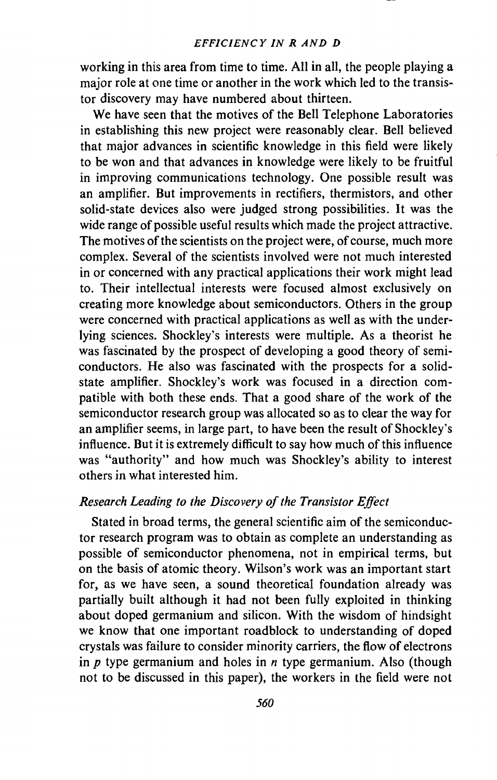working in this area from time to time. All in all, the people playing a major role at one time or another in the work which led to the transistor discovery may have numbered about thirteen.

We have seen that the motives of the Bell Telephone Laboratories in establishing this new project were reasonably clear. Bell believed that major advances in scientific knowledge in this field were likely to be won and that advances in knowledge were likely to be fruitful in improving communications technology. One possible result was an amplifier. But improvements in rectifiers, thermistors, and other solid-state devices also were judged strong possibilities. It was the wide range of possible useful results which made the project attractive. The motives of the scientists on the project were, of course, much more complex. Several of the scientists involved were not much interested in or concerned with any practical applications their work might lead to. Their intellectual interests were focused almost exclusively on creating more knowledge about semiconductors. Others in the group were concerned with practical applications as well as with the underlying sciences. Shockley's interests were multiple. As a theorist he was fascinated by the prospect of developing a good theory of semiconductors. He also was fascinated with the prospects for a solidstate amplifier. Shockley's work was focused in a direction compatible with both these ends. That a good share of the work of the semiconductor research group was allocated so as to clear the way for an amplifier seems, in large part, to have been the result of Shockley's influence. But it is extremely difficult to say how much of this influence was "authority" and how much was Shockley's ability to interest others in what interested him.

## Research Leading to the Discovery of the Transistor Effect

Stated in broad terms, the general scientific aim of the semiconductor research program was to obtain as complete an understanding as possible of semiconductor phenomena, not in empirical terms, but on the basis of atomic theory. Wilson's work was an important start for, as we have seen, a sound theoretical foundation already was partially built although it had not been fully exploited in thinking about doped germanium and silicon. With the wisdom of hindsight we know that one important roadblock to understanding of doped crystals was failure to consider minority carriers, the flow of electrons in  $p$  type germanium and holes in  $n$  type germanium. Also (though not to be discussed in this paper), the workers in the field were not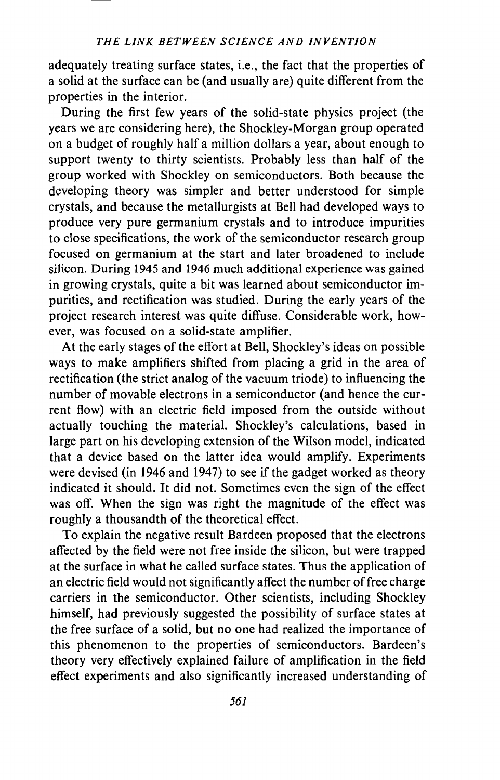adequately treating surface states, i.e., the fact that the properties of a solid at the surface can be (and usually are) quite different from the properties in the interior.

During the first few years of the solid-state physics project (the years we are considering here), the Shockley-Morgan group operated on a budget of roughly half a million dollars a year, about enough to support twenty to thirty scientists. Probably less than half of the group worked with Shockley on semiconductors. Both because the developing theory was simpler and better understood for simple crystals, and because the metallurgists at Bell had developed ways to produce very pure germanium crystals and to introduce impurities to close specifications, the work of the semiconductor research group focused on germanium at the start and later broadened to include silicon. During 1945 and 1946 much additional experience was gained in growing crystals, quite a bit was learned about semiconductor impurifies, and rectification was studied. During the early years of the project research interest was quite diffuse. Considerable work, however, was focused on a solid-state amplifier.

At the early stages of the effort at Bell, Shockley's ideas on possible ways to make amplifiers shifted from placing a grid in the area of rectification (the strict analog of the vacuum triode) to influencing the number of movable electrons in a semiconductor (and hence the current flow) with an electric field imposed from the outside without actually touching the material. Shockley's calculations, based in large part on his developing extension of the Wilson model, indicated that a device based on the latter idea would amplify. Experiments were devised (in 1946 and 1947) to see if the gadget worked as theory indicated it should. It did not. Sometimes even the sign of the effect was off. When the sign was right the magnitude of the effect was roughly a thousandth of the theoretical effect.

To explain the negative result Bardeen proposed that the electrons affected by the field were not free inside the silicon, but were trapped at the surface in what he called surface states. Thus the application of an electric field would not significantly affect the number of free charge carriers in the semiconductor. Other scientists, including Shockley himself, had previously suggested the possibility of surface states at the free surface of a solid, but no one had realized the importance of this phenomenon to the properties of semiconductors. Bardeen's theory very effectively explained failure of amplification in the field effect experiments and also significantly increased understanding of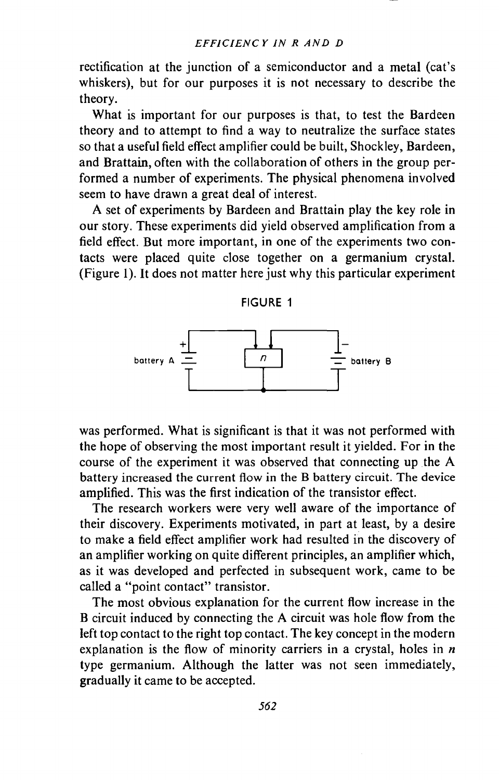rectification at the junction of a semiconductor and a metal (cat's whiskers), but for our purposes it is not necessary to describe the theory.

What is important for our purposes is that, to test the Bardeen theory and to attempt to find a way to neutralize the surface states so that a useful field effect amplifier could be built, Shockley, Bardeen, and Brattain, often with the collaboration of others in the group performed a number of experiments. The physical phenomena involved seem to have drawn a great deal of interest.

A set of experiments by Bardeen and Brattain play the key role in our story. These experiments did yield observed amplification from a field effect. But more important, in one of the experiments two contacts were placed quite close together on a germanium crystal. (Figure 1). It does not matter here just why this particular experiment





was performed. What is significant is that it was not performed with the hope of observing the most important result it yielded. For in the course of the experiment it was observed that connecting up the A battery increased the current flow in the B battery circuit. The device amplified. This was the first indication of the transistor effect.

The research workers were very well aware of the importance of their discovery. Experiments motivated, in part at least, by a desire to make a field effect amplifier work had resulted in the discovery of an amplifier working on quite different principles, an amplifier which, as it was developed and perfected in subsequent work, came to be called a "point contact" transistor.

The most obvious explanation for the current flow increase in the B circuit induced by connecting the A circuit was hole flow from the left top contact to the right top contact. The key concept in the modern explanation is the flow of minority carriers in a crystal, holes in  $n$ type germanium. Although the latter was not seen immediately, gradually it came to be accepted.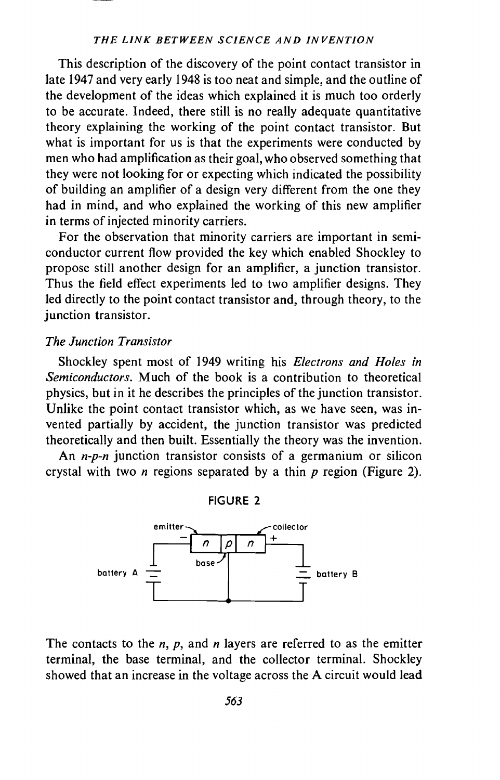## THE LINK BETWEEN SCIENCE AND INVENTION

This description of the discovery of the point contact transistor in late 1947 and very early 1948 is too neat and simple, and the outline of the development of the ideas which explained it is much too orderly to be accurate. Indeed, there still is no really adequate quantitative theory explaining the working of the point contact transistor. But what is important for us is that the experiments were conducted by men who had amplification as their goal, who observed something that they were not looking for or expecting which indicated the possibility of building an amplifier of a design very different from the one they had in mind, and who explained the working of this new amplifier in terms of injected minority carriers.

For the observation that minority carriers are important in semiconductor current flow provided the key which enabled Shockley to propose still another design for an amplifier, a junction transistor. Thus the field effect experiments led to two amplifier designs. They led directly to the point contact transistor and, through theory, to the junction transistor.

#### The Junction Transistor

Shockley spent most of 1949 writing his Electrons and Holes in Semiconductors. Much of the book is a contribution to theoretical physics, but in it he describes the principles of the junction transistor. Unlike the point contact transistor which, as we have seen, was invented partially by accident, the junction transistor was predicted theoretically and then built. Essentially the theory was the invention.

An  $n-p-n$  junction transistor consists of a germanium or silicon crystal with two *n* regions separated by a thin  $p$  region (Figure 2).

FIGURE 2



The contacts to the  $n$ ,  $p$ , and  $n$  layers are referred to as the emitter terminal, the base terminal, and the collector terminal. Shockley showed that an increase in the voltage across the A circuit would lead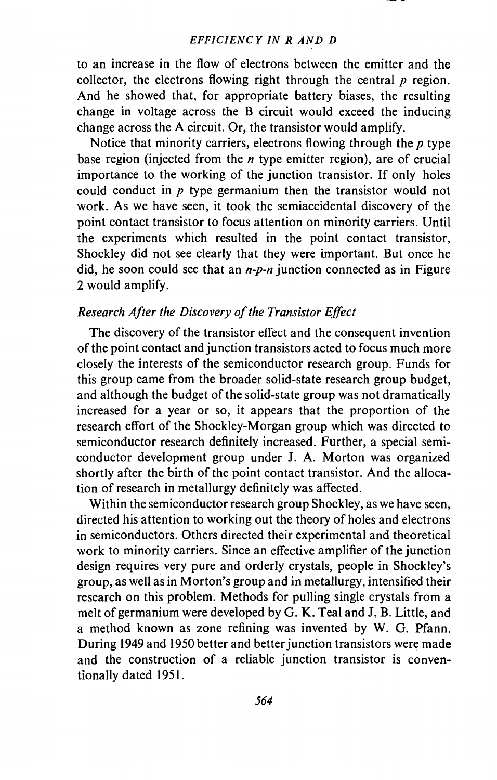to an increase in the flow of electrons between the emitter and the collector, the electrons flowing right through the central  $p$  region. And he showed that, for appropriate battery biases, the resulting change in voltage across the B circuit would exceed the inducing change across the A circuit. Or, the transistor would amplify.

Notice that minority carriers, electrons flowing through the  $p$  type base region (injected from the *n* type emitter region), are of crucial importance to the working of the junction transistor. If only holes could conduct in  $p$  type germanium then the transistor would not work. As we have seen, it took the semiaccidental discovery of the point contact transistor to focus attention on minority carriers. Until the experiments which resulted in the point contact transistor, Shockley did not see clearly that they were important. But once he did, he soon could see that an  $n-p-n$  junction connected as in Figure 2 would amplify.

## Research After the Discovery of the Transistor Effect

The discovery of the transistor effect and the consequent invention of the point contact and junction transistors acted to focus much more closely the interests of the semiconductor research group. Funds for this group came from the broader solid-state research group budget, and although the budget of the solid-state group was not dramatically increased for a year or so, it appears that the proportion of the research effort of the Shockley-Morgan group which was directed to semiconductor research definitely increased. Further, a special semiconductor development group under J. A. Morton was organized shortly after the birth of the point contact transistor. And the allocation of research in metallurgy definitely was affected.

Within the semiconductor research group Shockley, as we have seen, directed his attention to working out the theory of holes and electrons in semiconductors. Others directed their experimental and theoretical work to minority carriers. Since an effective amplifier of the junction design requires very pure and orderly crystals, people in Shockley's group, as well as in Morton's group and in metallurgy, intensified their research on this problem. Methods for pulling single crystals from a melt of germanium were developed by G. K. Teal and J, B. Little, and a method known as zone refining was invented by W. G. Pfann. During 1949 and 1950 better and better junction transistors were made and the construction of a reliable junction transistor is conventionally dated 1951.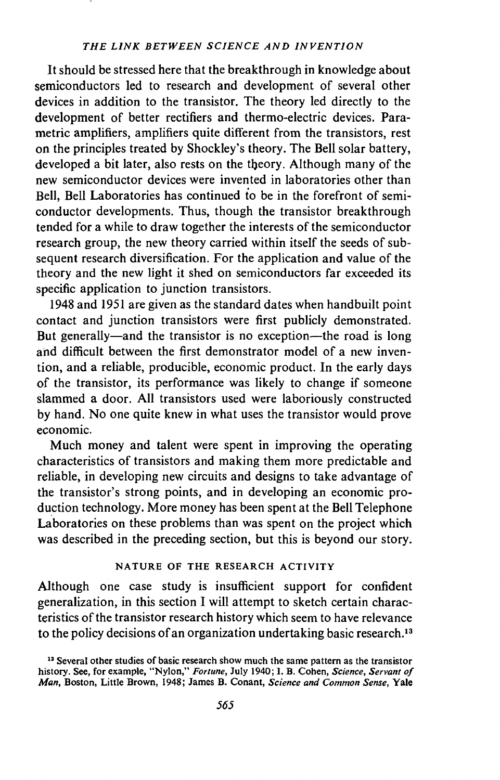#### THE LiNK BETWEEN SCIENCE AND iNVENTION

It should be stressed here that the breakthrough in knowledge about semiconductors led to research and development of several other devices in addition to the transistor. The theory led directly to the development of better rectifiers and thermo-electric devices. Parametric amplifiers, amplifiers quite different from the transistors, rest on the principles treated by Shockley's theory. The Bell solar battery, developed a bit later, also rests on the theory. Although many of the new semiconductor devices were invented in laboratories other than Bell, Bell Laboratories has continued to be in the forefront of semiconductor developments. Thus, though the transistor breakthrough tended for a while to draw together the interests of the semiconductor research group, the new theory carried within itself the seeds of subsequent research diversification. For the application and value of the theory and the new light it shed on semiconductors far exceeded its specific application to junction transistors.

1948 and 1951 are given as the standard dates when handbuilt point contact and junction transistors were first publicly demonstrated. But generally—and the transistor is no exception—the road is long and difficult between the first demonstrator model of a new invention, and a reliable, producible, economic product. In the early days of the transistor, its performance was likely to change if someone slammed a door. All transistors used were laboriously constructed by hand. No one quite knew in what uses the transistor would prove economic.

Much money and talent were spent in improving the operating characteristics of transistors and making them more predictable and reliable, in developing new circuits and designs to take advantage of the transistor's strong points, and in developing an economic production technology. More money has been spent at the Bell Telephone Laboratories on these problems than was spent on the project which was described in the preceding section, but this is beyond our story.

#### NATURE OF THE RESEARCH ACTIVITY

Although one case study is insufficient support for confident generalization, in this section I will attempt to sketch certain characteristics of the transistor research history which seem to have relevance to the policy decisions of an organization undertaking basic research.'3

<sup>&</sup>lt;sup>13</sup> Several other studies of basic research show much the same pattern as the transistor history. See, for example, "Nylon," Fortune, July 1940; I. B. Cohen, Science, Servant of Man, Boston, Little Brown, 1948; James B. Conant, Science and Common Sense, Yale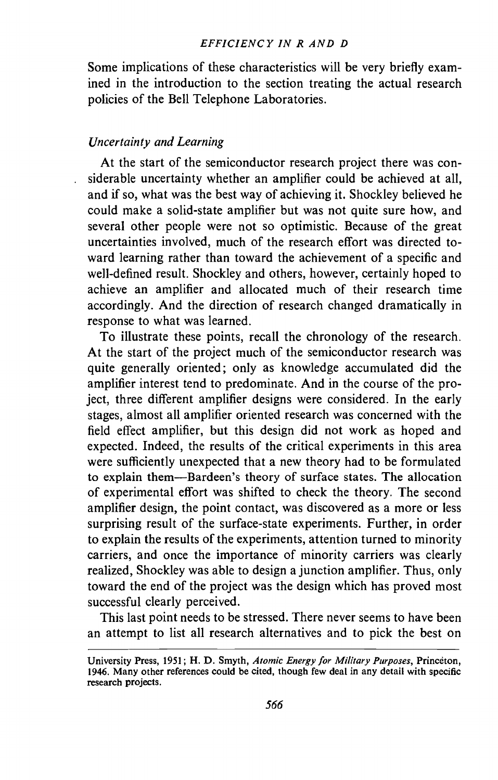Some implications of these characteristics will be very briefly examined in the introduction to the section treating the actual research policies of the Bell Telephone Laboratories.

## Uncertainty and Learning

At the start of the semiconductor research project there was considerable uncertainty whether an amplifier could be achieved at all, and if so, what was the best way of achieving it. Shockley believed he could make a solid-state amplifier but was not quite sure how, and several other people were not so optimistic. Because of the great uncertainties involved, much of the research effort was directed toward learning rather than toward the achievement of a specific and well-defined result. Shockley and others, however, certainly hoped to achieve an amplifier and allocated much of their research time accordingly. And the direction of research changed dramatically in response to what was learned.

To illustrate these points, recall the chronology of the research. At the start of the project much of the semiconductor research was quite generally oriented; only as knowledge accumulated did the amplifier interest tend to predominate. And in the course of the project, three different amplifier designs were considered. In the early stages, almost all amplifier oriented research was concerned with the field effect amplifier, but this design did not work as hoped and expected. Indeed, the results of the critical experiments in this area were sufficiently unexpected that a new theory had to be formulated to explain them—Bardeen's theory of surface states. The allocation of experimental effort was shifted to check the theory. The second amplifier design, the point contact, was discovered as a more or less surprising result of the surface-state experiments. Further, in order to explain the results of the experiments, attention turned to minority carriers, and once the importance of minority carriers was clearly realized, Shockley was able to design a junction amplifier. Thus, only toward the end of the project was the design which has proved most successful clearly perceived.

This last point needs to be stressed. There never seems to have been an attempt to list all research alternatives and to pick the best on

University Press, 1951; H. D. Smyth, Atomic Energy for Military Purposes, Princeton, 1946. Many other references could be cited, though few deal in any detail with specific research projects.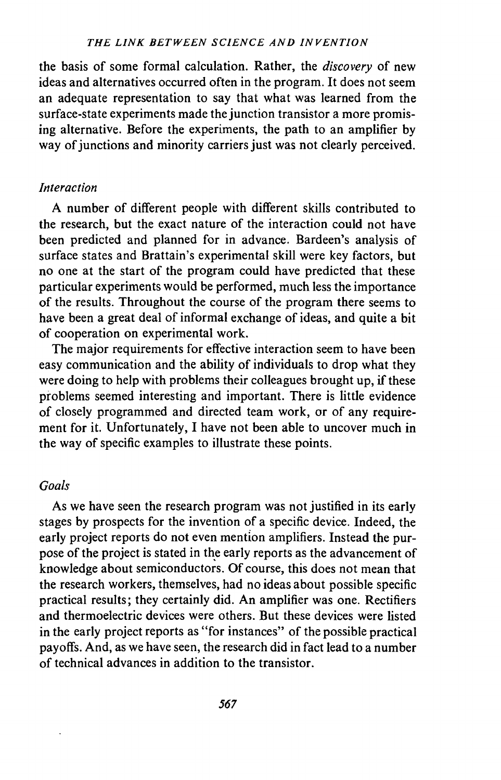the basis of some formal calculation. Rather, the discovery of new ideas and alternatives occurred often in the program. It does not seem an adequate representation to say that what was learned from the surface-state experiments made the junction transistor a more promising alternative. Before the experiments, the path to an amplifier by way of junctions and minority carriers just was not clearly perceived.

#### Interaction

A number of different people with different skills contributed to the research, but the exact nature of the interaction could not have been predicted and planned for in advance. Bardeen's analysis of surface states and Brattain's experimental skill were key factors, but no one at the start of the program could have predicted that these particular experiments would be performed, much less the importance of the results. Throughout the course of the program there seems to have been a great deal of informal exchange of ideas, and quite a bit of cooperation on experimental work.

The major requirements for effective interaction seem to have been easy communication and the ability of individuals to drop what they were doing to help with problems their colleagues brought up, if these problems seemed interesting and important. There is little evidence of closely programmed and directed team work, or of any requirement for it. Unfortunately, I have not been able to uncover much in the way of specific examples to illustrate these points.

## Goals

As we have seen the research program was not justified in its early stages by prospects for the invention of a specific device. Indeed, the early project reports do not even mention amplifiers. Instead the purpose of the project is stated in the early reports as the advancement of knowledge about semiconductors. Of course, this does not mean that the research workers, themselves, had no ideas about possible specific practical results; they certainly did. An amplifier was one. Rectifiers and thermoelectric devices were others. But these devices were listed in the early project reports as "for instances" of the possible practical payoffs. And, as we have seen, the research did in fact lead to a number of technical advances in addition to the transistor.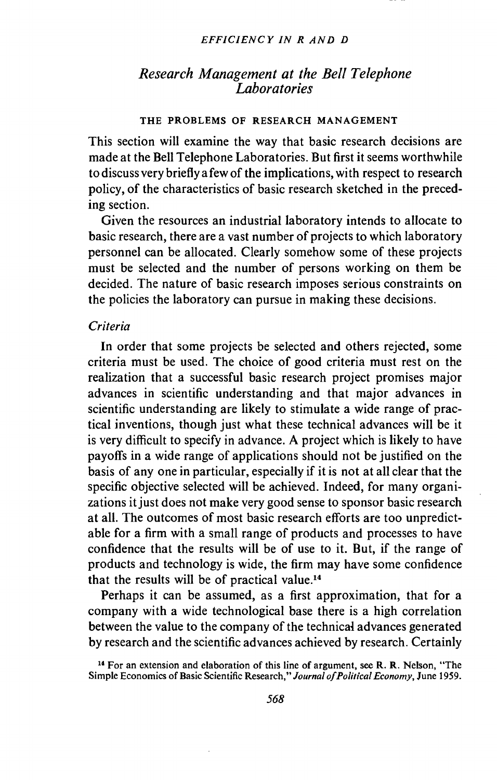#### EFFICIENCY iN R AND D

## Research Management at the Bell Telephone Laboratories

#### THE PROBLEMS OF RESEARCH MANAGEMENT

This section will examine the way that basic research decisions are made at the Bell Telephone Laboratories. But first it seems worthwhile to discuss very briefly a few of the implications, with respect to research policy, of the characteristics of basic research sketched in the preceding section.

Given the resources an industrial laboratory intends to allocate to basic research, there are a vast number of projects to which laboratory personnel can be allocated. Clearly somehow some of these projects must be selected and the number of persons working on them be decided. The nature of basic research imposes serious constraints on the policies the laboratory can pursue in making these decisions.

## **Criteria**

In order that some projects be selected and others rejected, some criteria must be used. The choice of good criteria must rest on the realization that a successful basic research project promises major advances in scientific understanding and that major advances in scientific understanding are likely to stimulate a wide range of practical inventions, though just what these technical advances will be it is very difficult to specify in advance. A project which is likely to have payoffs in a wide range of applications should not be justified on the basis of any one in particular, especially if it is not at all clear that the specific objective selected will be achieved. Indeed, for many organizations it just does not make very good sense to sponsor basic research at all. The outcomes of most basic research efforts are too unpredictable for a firm with a small range of products and processes to have confidence that the results will be of use to it. But, if the range of products and technology is wide, the firm may have some confidence that the results will be of practical value.<sup>14</sup>

Perhaps it can be assumed, as a first approximation, that for a company with a wide technological base there is a high correlation between the value to the company of the technica1 advances generated by research and the scientific advances achieved by research. Certainly

<sup>14</sup> For an extension and elaboration of this line of argument, see R. R. Nelson, "The Simple Economics of Basic Scientific Research," Journal of Political Economy, June 1959.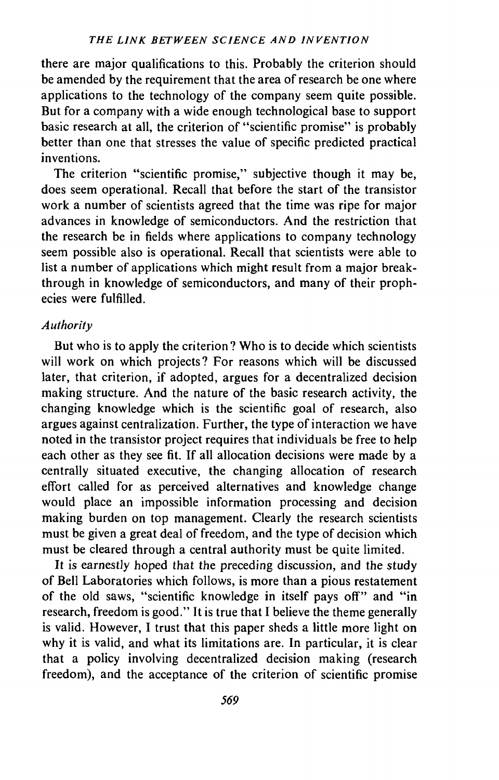there are major qualifications to this. Probably the criterion should be amended by the requirement that the area of research be one where applications to the technology of the company seem quite possible. But for a company with a wide enough technological base to support basic research at all, the criterion of "scientific promise" is probably better than one that stresses the value of specific predicted practical inventions.

The criterion "scientific promise," subjective though it may be, does seem operational. Recall that before the start of the transistor work a number of scientists agreed that the time was ripe for major advances in knowledge of semiconductors. And the restriction that the research be in fields where applications to company technology seem possible also is operational. Recall that scientists were able to list a number of applications which might result from a major breakthrough in knowledge of semiconductors, and many of their prophecies were fulfilled.

## Authority

But who is to apply the criterion? Who is to decide which scientists will work on which projects? For reasons which will be discussed later, that criterion, if adopted, argues for a decentralized decision making structure. And the nature of the basic research activity, the changing knowledge which is the scientific goal of research, also argues against centralization. Further, the type of interaction we have noted in the transistor project requires that individuals be free to help each other as they see fit. If all allocation decisions were made by a centrally situated executive, the changing allocation of research effort called for as perceived alternatives and knowledge change would place an impossible information processing and decision making burden on top management. Clearly the research scientists must be given a great deal of freedom, and the type of decision which must be cleared through a central authority must be quite limited.

It is earnestly hoped that the preceding discussion, and the study of Bell Laboratories which follows, is more than a pious restatement of the old saws, "scientific knowledge in itself pays off" and "in research, freedom is good." It is true that I believe the theme generally is valid. However, I trust that this paper sheds a little more light on why it is valid, and what its limitations are. In particular, it is clear that a policy involving decentralized decision making (research freedom), and the acceptance of the criterion of scientific promise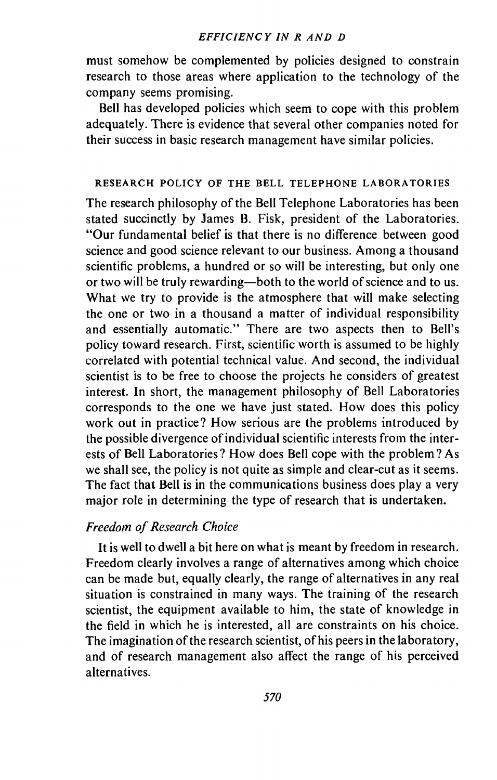must somehow be complemented by policies designed to constrain research to those areas where application to the technology of the company seems promising.

Bell has developed policies which seem to cope with this problem adequately. There is evidence that several other companies noted for their success in basic research management have similar policies.

## RESEARCH POLICY OF THE BELL TELEPHONE LABORATORIES

The research philosophy of the Bell Telephone Laboratories has been stated succinctly by James B. Fisk, president of the Laboratories. "Our fundamental belief is that there is no difference between good science and good science relevant to our business. Among a thousand scientific problems, a hundred or so will be interesting, but only one or two will be truly rewarding—both to the world of science and to us. What we try to provide is the atmosphere that will make selecting the one or two in a thousand a matter of individual responsibility and essentially automatic." There are two aspects then to Bell's policy toward research. First, scientific worth is assumed to be highly correlated with potential technical value. And second, the individual scientist is to be free to choose the projects he considers of greatest interest. In short, the management philosophy of Bell Laboratories corresponds to the one we have just stated. How does this policy work out in practice? How serious are the problems introduced by the possible divergence of individual scientific interests from the interests of Bell Laboratories? How does Bell cope with the problem? As we shall see, the policy is not quite as simple and clear-cut as it seems. The fact that Bell is in the communications business does play a very major role in determining the type of research that is undertaken.

## Freedom of Research Choice

It is well to dwell a bit here on what is meant by freedom in research. Freedom clearly involves a range of alternatives among which choice can be made but, equally clearly, the range of alternatives in any real situation is constrained in many ways. The training of the research scientist, the equipment available to him, the state of knowledge in the field in which he is interested, all are constraints on his choice. The imagination of the research scientist, of his peers in the laboratory, and of research management also affect the range of his perceived alternatives.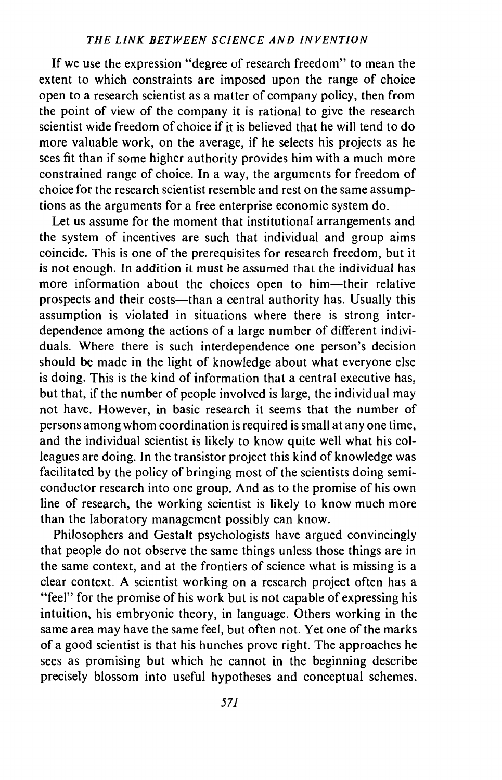## THE LiNK BETWEEN SCIENCE AND INVENTION

If we use the expression "degree of research freedom" to mean the extent to which constraints are imposed upon the range of choice open to a research scientist as a matter of company policy, then from the point of view of the company it is rational to give the research scientist wide freedom of choice if it is believed that he will tend to do more valuable work, on the average, if he selects his projects as he sees fit than if some higher authority provides him with a much more constrained range of choice. In a way, the arguments for freedom of choice for the research scientist resemble and rest on the same assumptions as the arguments for a free enterprise economic system do.

Let us assume for the moment that institutional arrangements and the system of incentives are such that individual and group aims coincide. This is one of the prerequisites for research freedom, but it is not enough. In addition it must be assumed that the individual has more information about the choices open to him—their relative prospects and their costs—than a central authority has. Usually this assumption is violated in situations where there is strong interdependence among the actions of a large number of different individuals. Where there is such interdependence one person's decision should be made in the light of knowledge about what everyone else is doing. This is the kind of information that a central executive has, but that, if the number of people involved is large, the individual may not have. However, in basic research it seems that the number of persons among whom coordination is required is small at any one time, and the individual scientist is likely to know quite well what his colleagues are doing. In the transistor project this kind of knowledge was facilitated by the policy of bringing most of the scientists doing semiconductor research into one group. And as to the promise of his own line of research, the working scientist is likely to know much more than the laboratory management possibly can know.

Philosophers and Gestalt psychologists have argued convincingly that people do not observe the same things unless those things are in the same context, and at the frontiers of science what is missing is a clear context. A scientist working on a research project often has a "feel" for the promise of his work but is not capable of expressing his intuition, his embryonic theory, in language. Others working in the same area may have the same feel, but often not. Yet one of the marks of a good scientist is that his hunches prove right. The approaches he sees as promising but which he cannot in the beginning describe precisely blossom into useful hypotheses and conceptual schemes.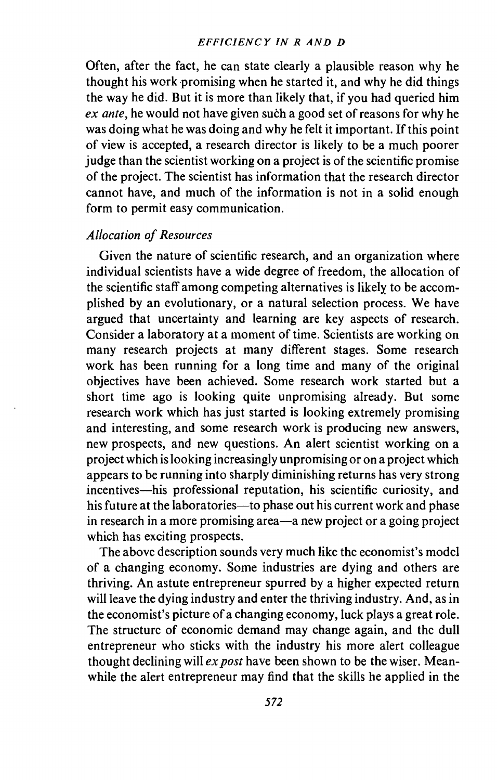Often, after the fact, he can state clearly a plausible reason why he thought his work promising when he started it, and why he did things the way he did. But it is more than likely that, if you had queried him  $ex$  ante, he would not have given such a good set of reasons for why he was doing what he was doing and why he felt it important. If this point of view is accepted, a research director is likely to be a much poorer judge than the scientist working on a project is of the scientific promise of the project. The scientist has information that the research director cannot have, and much of the information is not in a solid enough form to permit easy communication.

## Allocation of Resources

Given the nature of scientific research, and an organization where individual scientists have a wide degree of freedom, the allocation of the scientific staff among competing alternatives is likely to be accomplished by an evolutionary, or a natural selection process. We have argued that uncertainty and learning are key aspects of research. Consider a laboratory at a moment of time. Scientists are working on many research projects at many different stages. Some research work has been running for a long time and many of the original objectives have been achieved. Some research work started but a short time ago is looking quite unpromising already. But some research work which has just started is looking extremely promising and interesting, and some research work is producing new answers, new prospects, and new questions. An alert scientist working on a project which is looking increasingly unpromising or on a project which appears to be running into sharply diminishing returns has very strong incentives—his professional reputation, his scientific curiosity, and his future at the laboratories—to phase out his current work and phase in research in a more promising area—a new project or a going project which has exciting prospects.

The above description sounds very much like the economist's model of a changing economy. Some industries are dying and others are thriving. An astute entrepreneur spurred by a higher expected return will leave the dying industry and enter the thriving industry. And, as in the economist's picture of a changing economy, luck plays a great role. The structure of economic demand may change again, and the dull entrepreneur who sticks with the industry his more alert colleague thought declining will  $ex$  post have been shown to be the wiser. Meanwhile the alert entrepreneur may find that the skills he applied in the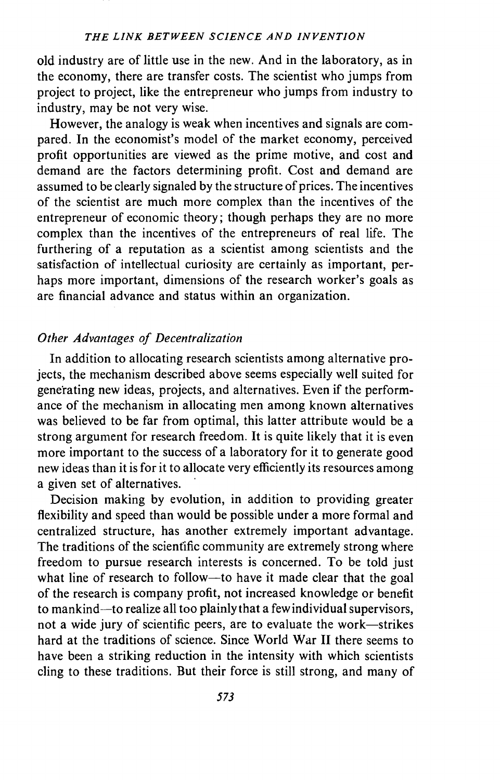#### THE LiNK BETWEEN SCIENCE AND INVENTION

old industry are of little use in the new. And in the laboratory, as in the economy, there are transfer costs. The scientist who jumps from project to project, like the entrepreneur who jumps from industry to industry, may be not very wise.

However, the analogy is weak when incentives and signals are compared. In the economist's model of the market economy, perceived profit opportunities are viewed as the prime motive, and cost and demand are the factors determining profit. Cost and demand are assumed to be clearly signaled by the structure of prices. The incentives of the scientist are much more complex than the incentives of the entrepreneur of economic theory; though perhaps they are no more complex than the incentives of the entrepreneurs of real life. The furthering of a reputation as a scientist among scientists and the satisfaction of intellectual curiosity are certainly as important, perhaps more important, dimensions of the research worker's goals as are financial advance and status within an organization.

## Other Advantages of Decentralization

In addition to allocating research scientists among alternative projects, the mechanism described above seems especially well suited for generating new ideas, projects, and alternatives. Even if the performance of the mechanism in allocating men among known alternatives was believed to be far from optimal, this latter attribute would be a strong argument for research freedom. It is quite likely that it is even more important to the success of a laboratory for it to generate good new ideas than it is for it to allocate very efficiently its resources among a given set of alternatives.

Decision making by evolution, in addition to providing greater flexibility and speed than would be possible under a more formal and centralized structure, has another extremely important advantage. The traditions of the scientific community are extremely strong where freedom to pursue research interests is concerned. To be told just what line of research to follow—to have it made clear that the goal of the research is company profit, not increased knowledge or benefit to mankind—to realize all too plainly that a few individual supervisors, not a wide jury of scientific peers, are to evaluate the work—strikes hard at the traditions of science. Since World War II there seems to have been a striking reduction in the intensity with which scientists cling to these traditions. But their force is still strong, and many of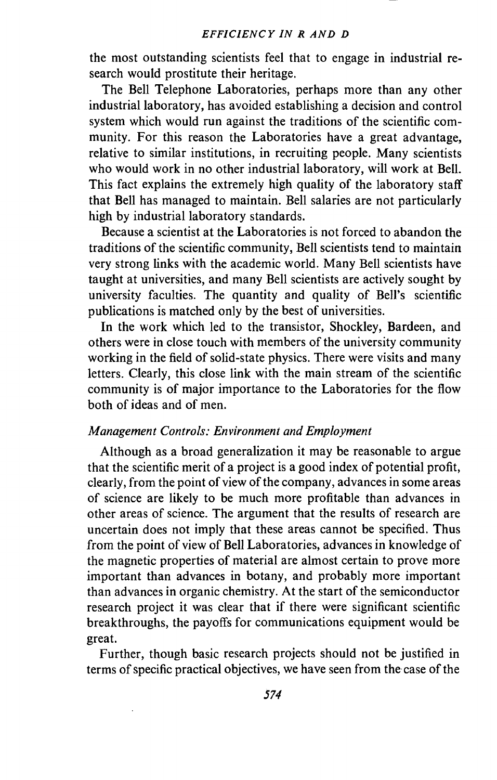the most outstanding scientists feel that to engage in industrial research would prostitute their heritage.

The Bell Telephone Laboratories, perhaps more than any other industrial laboratory, has avoided establishing a decision and control system which would run against the traditions of the scientific community. For this reason the Laboratories have a great advantage, relative to similar institutions, in recruiting people. Many scientists who would work in no other industrial laboratory, will work at Bell. This fact explains the extremely high quality of the laboratory staff that Bell has managed to maintain. Bell salaries are not particularly high by industrial laboratory standards.

Because a scientist at the Laboratories is not forced to abandon the traditions of the scientific community, Bell scientists tend to maintain very strong links with the academic world. Many Bell scientists have taught at universities, and many Bell scientists are actively sought by university faculties. The quantity and quality of Bell's scientific publications is matched only by the best of universities.

In the work which led to the transistor, Shockley, Bardeen, and others were in close touch with members of the university community working in the field of solid-state physics. There were visits and many letters. Clearly, this close link with the main stream of the scientific community is of major importance to the Laboratories for the flow both of ideas and of men.

#### Management Controls: Environment and Employment

Although as a broad generalization it may be reasonable to argue that the scientific merit of a project is a good index of potential profit, clearly, from the point of view of the company, advances in some areas of science are likely to be much more profitable than advances in other areas of science. The argument that the results of research are uncertain does not imply that these areas cannot be specified. Thus from the point of view of Bell Laboratories, advances in knowledge of the magnetic properties of material are almost certain to prove more important than advances in botany, and probably more important than advances in organic chemistry. At the start of the semiconductor research project it was clear that if there were significant scientific breakthroughs, the payoffs for communications equipment would be great.

Further, though basic research projects should not be justified in terms of specific practical objectives, we have seen from the case of the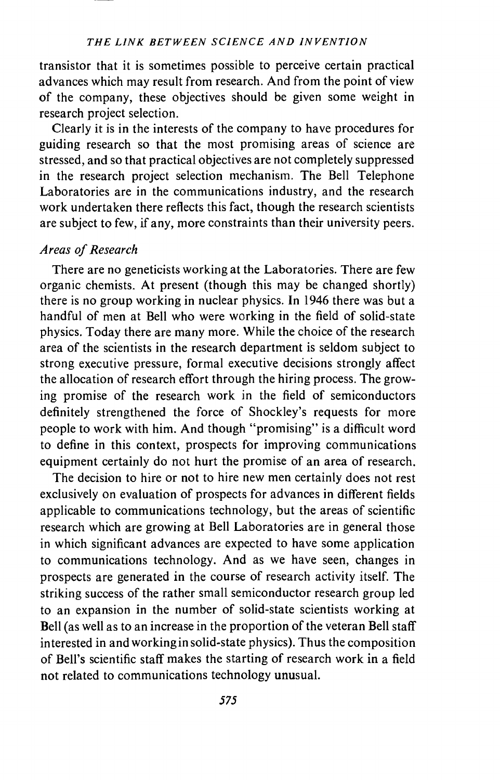## THE LINK BETWEEN SCIENCE AND INVENTION

transistor that it is sometimes possible to perceive certain practical advances which may result from research. And from the point of view of the company, these objectives should be given some weight in research project selection.

Clearly it is in the interests of the company to have procedures for guiding research so that the most promising areas of science are stressed, and so that practical objectives are not completely suppressed in the research project selection mechanism. The Bell Telephone Laboratories are in the communications industry, and the research work undertaken there reflects this fact, though the research scientists are subject to few, if any, more constraints than their university peers.

## Areas of Research

There are no geneticists working at the Laboratories. There are few organic chemists. At present (though this may be changed shortly) there is no group working in nuclear physics. In 1946 there was but a handful of men at Bell who were working in the field of solid-state physics. Today there are many more. While the choice of the research area of the scientists in the research department is seldom subject to strong executive pressure, formal executive decisions strongly affect the allocation of research effort through the hiring process. The growing promise of the research work in the field of semiconductors definitely strengthened the force of Shockley's requests for more people to work with him. And though "promising" is a difficult word to define in this context, prospects for improving communications equipment certainly do not hurt the promise of an area of research.

The decision to hire or not to hire new men certainly does not rest exclusively on evaluation of prospects for advances in different fields applicable to communications technology, but the areas of scientific research which are growing at Bell Laboratories are in general those in which significant advances are expected to have some application to communications technology. And as we have seen, changes in prospects are generated in the course of research activity itself. The striking success of the rather small semiconductor research group led to an expansion in the number of solid-state scientists working at Bell (as well as to an increase in the proportion of the veteran Bell staff interested in and workingin solid-state physics). Thus the composition of Bell's scientific staff makes the starting of research work in a field not related to communications technology unusual.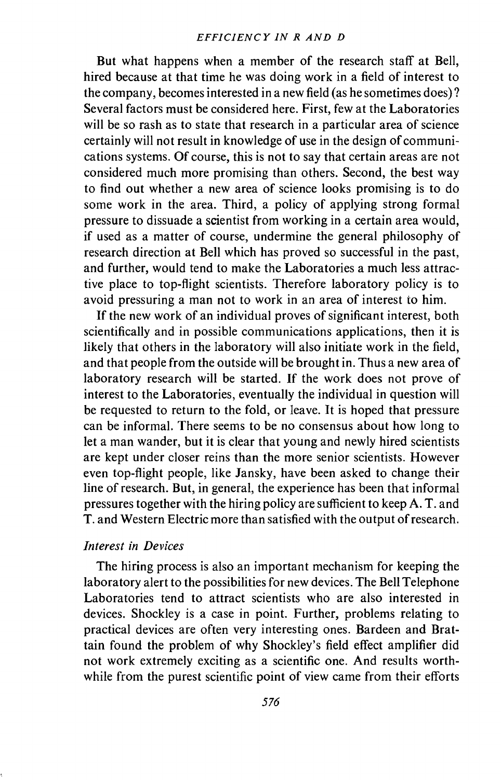But what happens when a member of the research staff at Bell, hired because at that time he was doing work in a field of interest to the company, becomes interested in a new field (as he sometimes does)? Several factors must be considered here. First, few at the Laboratories will be so rash as to state that research in a particular area of science certainly will not result in knowledge of use in the design of communications systems. Of course, this is not to say that certain areas are not considered much more promising than others. Second, the best way to find out whether a new area of science looks promising is to do some work in the area. Third, a policy of applying strong formal pressure to dissuade a scientist from working in a certain area would, if used as a matter of course, undermine the general philosophy of research direction at Bell which has proved so successful in the past, and further, would tend to make the Laboratories a much less attractive place to top-flight scientists. Therefore laboratory policy is to avoid pressuring a man not to work in an area of interest to him.

If the new work of an individual proves of significant interest, both scientifically and in possible communications applications, then it is likely that others in the laboratory will also initiate work in the field, and that people from the outside will be brought in. Thus a new area of laboratory research will be started. If the work does not prove of interest to the Laboratories, eventually the individual in question will be requested to return to the fold, or leave. It is hoped that pressure can be informal. There seems to be no consensus about how long to let a man wander, but it is clear that young and newly hired scientists are kept under closer reins than the more senior scientists. However even top-flight people, like Jansky, have been asked to change their line of research. But, in general, the experience has been that informal pressures together with the hiring policy are sufficient to keep A. T. and T. and Western Electric more than satisfied with the output of research.

## Interest in Devices

The hiring process is also an important mechanism for keeping the laboratory alert to the possibilities for new devices. The Bell Telephone Laboratories tend to attract scientists who are also interested in devices. Shockley is a case in point. Further, problems relating to practical devices are often very interesting ones. Bardeen and Brattain found the problem of why Shockley's field effect amplifier did not work extremely exciting as a scientific one. And results worthwhile from the purest scientific point of view came from their efforts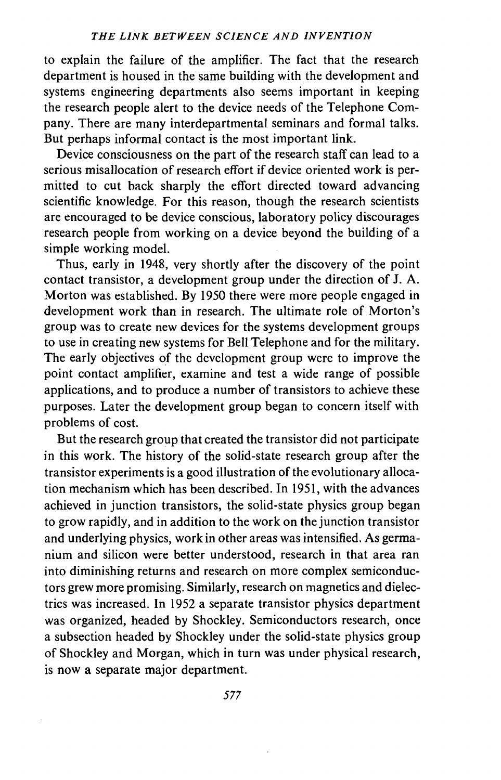to explain the failure of the amplifier. The fact that the research department is housed in the same building with the development and systems engineering departments also seems important in keeping the research people alert to the device needs of the Telephone Company. There are many interdepartmental seminars and formal talks. But perhaps informal contact is the most important link.

Device consciousness on the part of the research staff can lead to a serious misallocation of research effort if device oriented work is permitted to cut back sharply the effort directed toward advancing scientific knowledge. For this reason, though the research scientists are encouraged to be device conscious, laboratory policy discourages research people from working on a device beyond the building of a simple working model.

Thus, early in 1948, very shortly after the discovery of the point contact transistor, a development group under the direction of J. A. Morton was established. By 1950 there were more people engaged in development work than in research. The ultimate role of Morton's group was to create new devices for the systems development groups to use in creating new systems for Bell Telephone and for the military. The early objectives of the development group were to improve the point contact amplifier, examine and test a wide range of possible applications, and to produce a number of transistors to achieve these purposes. Later the development group began to concern itself with problems of cost.

But the research group that created the transistor did not participate in this work. The history of the solid-state research group after the transistor experiments is a good illustration of the evolutionary allocation mechanism which has been described. In 1951, with the advances achieved in junction transistors, the solid-state physics group began to grow rapidly, and in addition to the work on the junction transistor and underlying physics, work in other areas was intensified. As germanium and silicon were better understood, research in that area ran into diminishing returns and research on more complex semiconductors grew more promising. Similarly, research on magnetics and dielectrics was increased. In 1952 a separate transistor physics department was organized, headed by Shockley. Semiconductors research, once a subsection headed by Shockley under the solid-state physics group of Shockley and Morgan, which in turn was under physical research, is now a separate major department.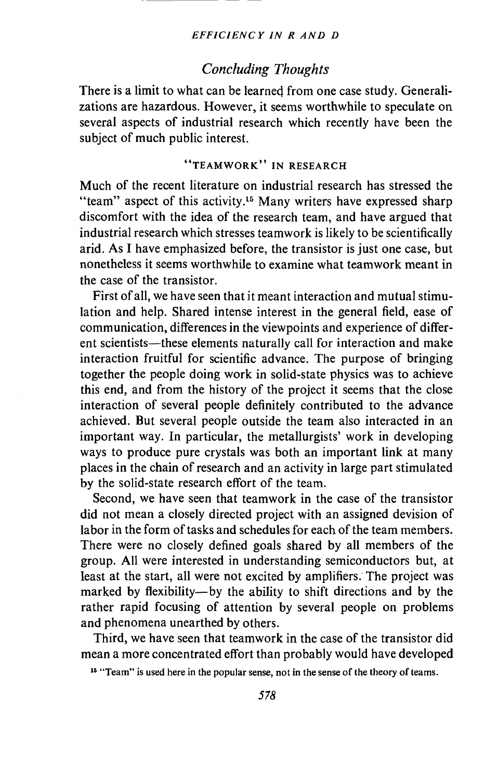## Concluding Thoughts

There is a limit to what can be learned from one case study. Generalizations are hazardous. However, it seems worthwhile to speculate on several aspects of industrial research which recently have been the subject of much public interest.

## "TEAMWORK" IN RESEARCH

Much of the recent literature on industrial research has stressed the "team" aspect of this activity.<sup>15</sup> Many writers have expressed sharp discomfort with the idea of the research team, and have argued that industrial research which stresses teamwork is likely to be scientifically arid. As I have emphasized before, the transistor is just one case, but nonetheless it seems worthwhile to examine what teamwork meant in the case of the transistor.

First of all, we have seen that it meant interaction and mutual stimulation and help. Shared intense interest in the general field, ease of communication, differences in the viewpoints and experience of different scientists—these elements naturally call for interaction and make interaction fruitful for scientific advance. The purpose of bringing together the people doing work in solid-state physics was to achieve this end, and from the history of the project it seems that the close interaction of several people definitely contributed to the advance achieved. But several people outside the team also interacted in an important way. In particular, the metallurgists' work in developing ways to produce pure crystals was both an important link at many places in the chain of research and an activity in large part stimulated by the solid-state research effort of the team.

Second, we have seen that teamwork in the case of the transistor did not mean a closely directed project with an assigned devision of labor in the form of tasks and schedules for each of the team members. There were no closely defined goals shared by all members of the group. All were interested in understanding semiconductors but, at least at the start, all were not excited by amplifiers: The project was marked by flexibility—by the ability to shift directions and by the rather rapid focusing of attention by several people on problems and phenomena unearthed by others.

Third, we have seen that teamwork in the case of the transistor did mean a more concentrated effort than probably would have developed

<sup>&</sup>lt;sup>15</sup> "Team" is used here in the popular sense, not in the sense of the theory of teams.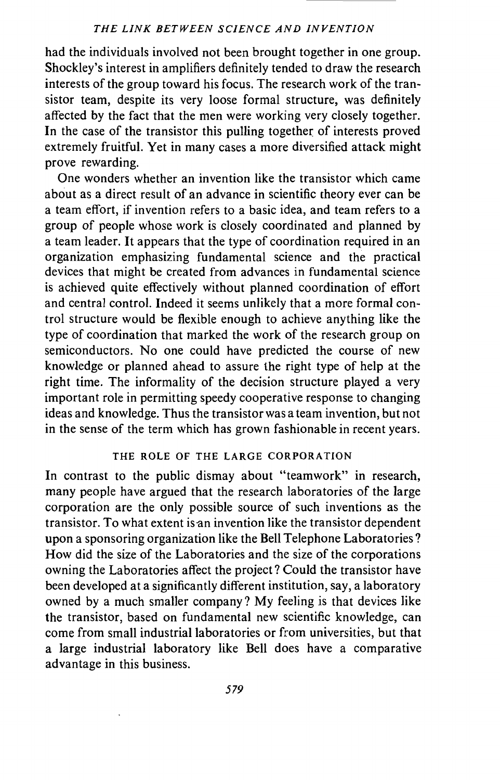#### THE LINK BETWEEN SCIENCE AND INVENTION

had the individuals involved not been brought together in one group. Shockley's interest in amplifiers definitely tended to draw the research interests of the group toward his focus. The research work of the transistor team, despite its very loose formal structure, was definitely affected by the fact that the men were working very closely together. In the case of the transistor this pulling together of interests proved extremely fruitful. Yet in many cases a more diversified attack might prove rewarding.

One wonders whether an invention like the transistor which came about as a direct result of an advance in scientific theory ever can be a team effort, if invention refers to a basic idea, and team refers to a group of people whose work is closely coordinated and planned by a team leader. It appears that the type of coordination required in an organization emphasizing fundamental science and the practical devices that might be created from advances in fundamental science is achieved quite effectively without planned coordination of effort and central control. Indeed it seems unlikely that a more formal control structure would be flexible enough to achieve anything like the type of coordination that marked the work of the research group on semiconductors. No one could have predicted the course of new knowledge or planned ahead to assure the right type of help at the right time. The informality of the decision structure played a very important role in permitting speedy cooperative response to changing ideas and knowledge. Thus the transistor was a team invention, but not in the sense of the term which has grown fashionable in recent years.

#### THE ROLE OF THE LARGE CORPORATION

In contrast to the public dismay about "teamwork" in research, many people have argued that the research laboratories of the large corporation are the only possible source of such inventions as the transistor. To what extent is an invention like the transistor dependent upon a sponsoring organization like the Bell Telephone Laboratories? How did the size of the Laboratories and the size of the corporations owning the Laboratories affect the project? Could the transistor have been developed at a significantly different institution, say, a laboratory owned by a much smaller company? My feeling is that devices like the transistor, based on fundamental new scientific knowledge, can come from small industrial laboratories or from universities, but that a large industrial laboratory like Bell does have a comparative advantage in this business.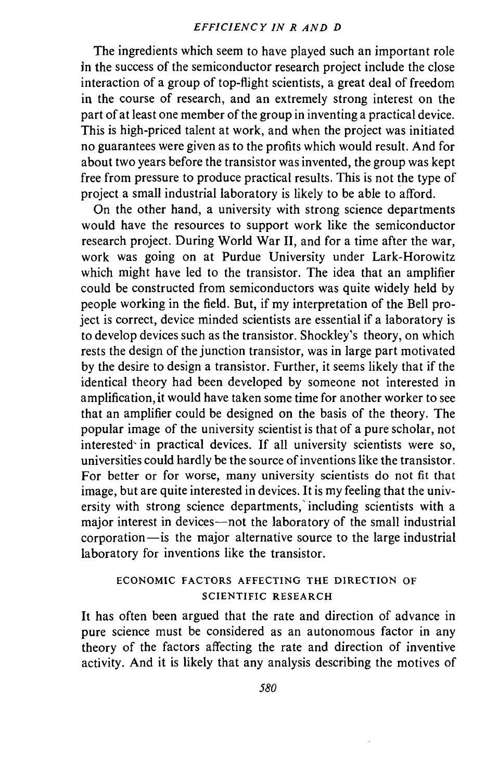The ingredients which seem to have played such an important role in the success of the semiconductor research project include the close interaction of a group of top-flight scientists, a great deal of freedom in the course of research, and an extremely strong interest on the part of at least one member of the group in inventing a practical device. This is high-priced talent at work, and when the project was initiated no guarantees were given as to the profits which would result. And for about two years before the transistor was invented, the group was kept free from pressure to produce practical results. This is not the type of project a small industrial laboratory is likely to be able to afford.

On the other hand, a university with strong science departments would have the resources to support work like the semiconductor research project. During World War II, and for a time after the war, work was going on at Purdue University under Lark-Horowitz which might have led to the transistor. The idea that an amplifier could be constructed from semiconductors was quite widely held by people working in the field. But, if my interpretation of the Bell project is correct, device minded scientists are essential if a laboratory is to develop devices such as the transistor. Shockley's theory, on which rests the design of the junction transistor, was in large part motivated by the desire to design a transistor. Further, it seems likely that if the identical theory had been developed by someone not interested in amplification, it would have taken some time for another worker to see that an amplifier could be designed on the basis of the theory. The popular image of the university scientist is that of a pure scholar, not interested in practical devices. If all university scientists were so, universities could hardly be the source of inventions like the transistor. For better or for worse, many university scientists do not fit that image, but are quite interested in devices. It is my feeling that the university with strong science departments, including scientists with a major interest in devices—not the laboratory of the small industrial corporation—is the major alternative source to the large industrial laboratory for inventions like the transistor.

## ECONOMIC FACTORS AFFECTING THE DIRECTION OF SCIENTIFIC RESEARCH

It has often been argued that the rate and direction of advance in pure science must be considered as an autonomous factor in any theory of the factors affecting the rate and direction of inventive activity. And it is likely that any analysis describing the motives of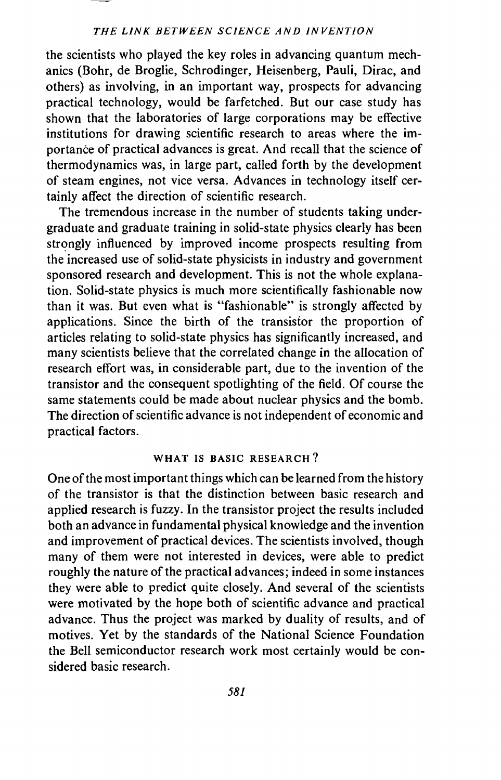## THE LINK BETWEEN SCIENCE AND INVENTION

the scientists who played the key roles in advancing quantum mechanics (Bohr, de Broglie, Schrodinger, Heisenberg, Pauli, Dirac, and others) as involving, in an important way, prospects for advancing practical technology, would be farfetched. But our case study has shown that the laboratories of large corporations may be effective institutions for drawing scientific research to areas where the importance of practical advances is great. And recall that the science of thermodynamics was, in large part, called forth by the development of steam engines, not vice versa. Advances in technology itself certainly affect the direction of scientific research.

The tremendous increase in the number of students taking undergraduate and graduate training in solid-state physics clearly has been strongly influenced by improved income prospects resulting from the increased use of solid-state physicists in industry and government sponsored research and development. This is not the whole explanation. Solid-state physics is much more scientifically fashionable now than it was. But even what is "fashionable" is strongly affected by applications. Since the birth of the transistor the proportion of articles relating to solid-state physics has significantly increased, and many scientists believe that the correlated change in the allocation of research effort was, in considerable part, due to the invention of the transistor and the consequent spotlighting of the field. Of course the same statements could be made about nuclear physics and the bomb. The direction of scientific advance is not independent of economic and practical factors.

## WHAT IS BASIC RESEARCH?

One of the most important things which can be learned from the history of the transistor is that the distinction between basic research and applied research is fuzzy. In the transistor project the results included both an advance in fundamental physical knowledge and the invention and improvement of practical devices. The scientists involved, though many of them were not interested in devices, were able to predict roughly the nature of the practical advances; indeed in some instances they were able to predict quite closely. And several of the scientists were motivated by the hope both of scientific advance and practical advance. Thus the project was marked by duality of results, and of motives. Yet by the standards of the National Science Foundation the Bell semiconductor research work most certainly would be considered basic research.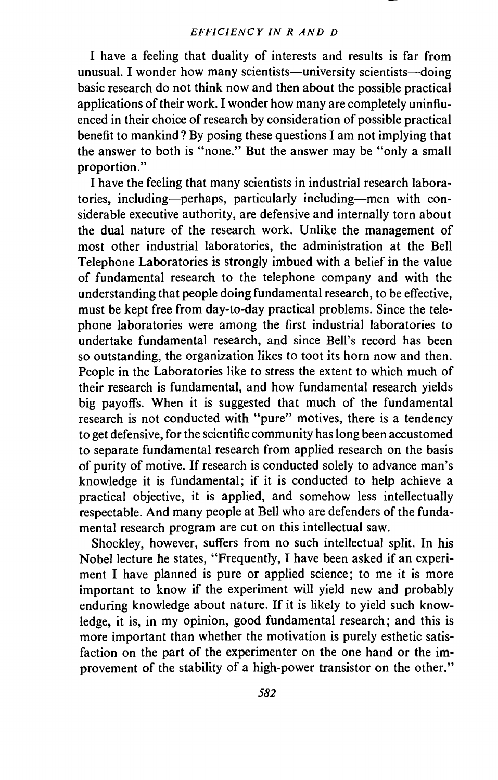I have a feeling that duality of interests and results is far from unusual. I wonder how many scientists—university scientists—doing basic research do not think now and then about the possible practical applications of their work. I wonder how many are completely uninfluenced in their choice of research by consideration of possible practical benefit to mankind? By posing these questions I am not implying that the answer to both is "none." But the answer may be "only a small proportion."

I have the feeling that many scientists in industrial research laboratories, including—perhaps, particularly including—men with considerable executive authority, are defensive and internally torn about the dual nature of the research work. Unlike the management of most other industrial laboratories, the administration at the Bell Telephone Laboratories is strongly imbued with a belief in the value of fundamental research to the telephone company and with the understanding that people doing fundamental research, to be effective, must be kept free from day-to-day practical problems. Since the telephone laboratories were among the first industrial laboratories to undertake fundamental research, and since Bell's record has been so outstanding, the organization likes to toot its horn now and then. People in the Laboratories like to stress the extent to which much of their research is fundamental, and how fundamental research yields big payoffs. When it is suggested that much of the fundamental research is not conducted with "pure" motives, there is a tendency to get defensive, for the scientific community has long been accustomed to separate fundamental research from applied research on the basis of purity of motive. If research is conducted solely to advance man's knowledge it is fundamental; if it is conducted to help achieve a practical objective, it is applied, and somehow less intellectually respectable. And many people at Bell who are defenders of the fundamental research program are cut on this intellectual saw.

Shockley, however, suffers from no such intellectual split. In his Nobel lecture he states, "Frequently, I have been asked if an experiment I have planned is pure or applied science; to me it is more important to know if the experiment will yield new and probably enduring knowledge about nature. If it is likely to yield such knowledge, it is, in my opinion, good fundamental research; and this is more important than whether the motivation is purely esthetic satisfaction on the part of the experimenter on the one hand or the improvement of the stability of a high-power transistor on the other."